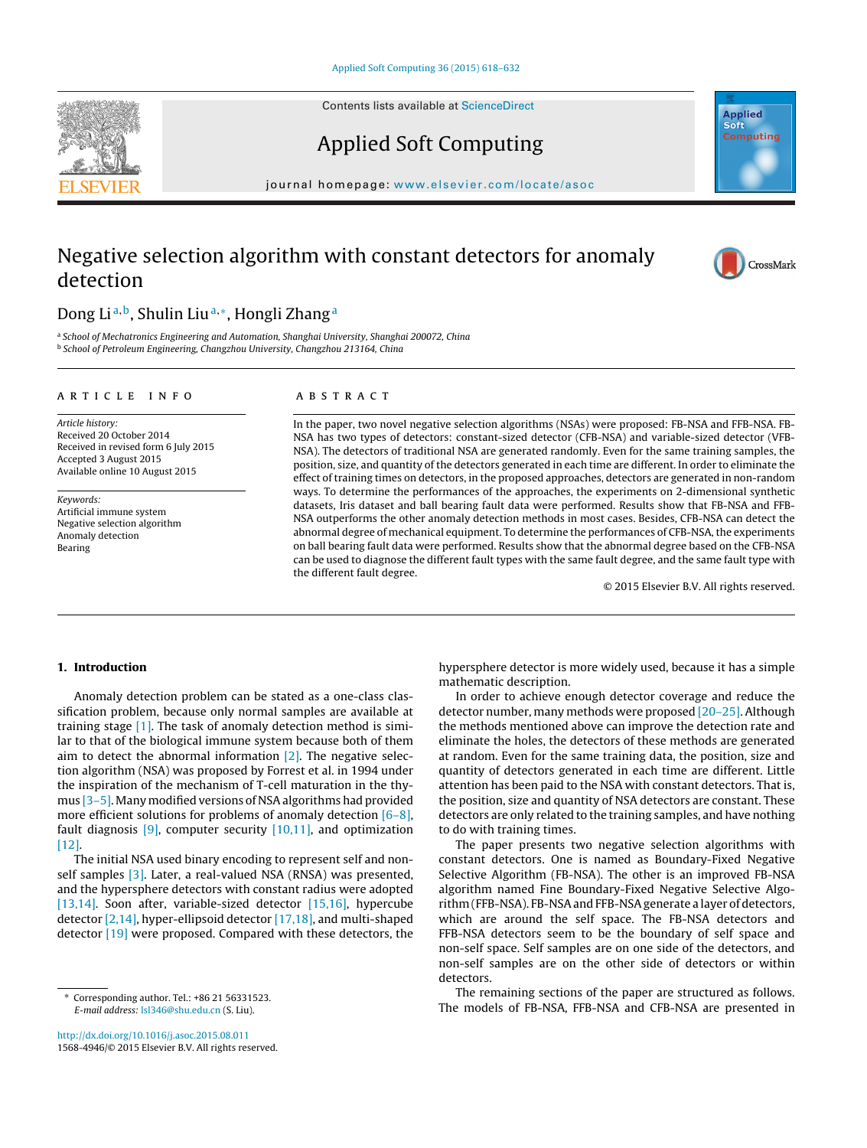Contents lists available at [ScienceDirect](http://www.sciencedirect.com/science/journal/15684946)

# Applied Soft Computing

iournal homepage: <www.elsevier.com/locate/asoc>

## Negative selection algorithm with constant detectors for anomaly detection

## Dong Li<sup>a,b</sup>, Shulin Liu<sup>a,∗</sup>, Hongli Zhang<sup>a</sup>

a School of Mechatronics Engineering and Automation, Shanghai University, Shanghai 200072, China <sup>b</sup> School of Petroleum Engineering, Changzhou University, Changzhou 213164, China

### a r t i c l e i n f o

Article history: Received 20 October 2014 Received in revised form 6 July 2015 Accepted 3 August 2015 Available online 10 August 2015

Keywords: Artificial immune system Negative selection algorithm Anomaly detection Bearing

#### A B S T R A C T

In the paper, two novel negative selection algorithms (NSAs) were proposed: FB-NSA and FFB-NSA. FB-NSA has two types of detectors: constant-sized detector (CFB-NSA) and variable-sized detector (VFB-NSA). The detectors of traditional NSA are generated randomly. Even for the same training samples, the position, size, and quantity of the detectors generated in each time are different. In order to eliminate the effect of training times on detectors, in the proposed approaches, detectors are generated in non-random ways. To determine the performances of the approaches, the experiments on 2-dimensional synthetic datasets, Iris dataset and ball bearing fault data were performed. Results show that FB-NSA and FFB-NSA outperforms the other anomaly detection methods in most cases. Besides, CFB-NSA can detect the abnormal degree of mechanical equipment. To determine the performances of CFB-NSA, the experiments on ball bearing fault data were performed. Results show that the abnormal degree based on the CFB-NSA can be used to diagnose the different fault types with the same fault degree, and the same fault type with the different fault degree.

© 2015 Elsevier B.V. All rights reserved.

### **1. Introduction**

Anomaly detection problem can be stated as a one-class classification problem, because only normal samples are available at training stage [\[1\].](#page--1-0) The task of anomaly detection method is similar to that of the biological immune system because both of them aim to detect the abnormal information  $[2]$ . The negative selection algorithm (NSA) was proposed by Forrest et al. in 1994 under the inspiration of the mechanism of T-cell maturation in the thymus [3-5]. Many modified versions of NSA algorithms had provided more efficient solutions for problems of anomaly detection [\[6–8\],](#page--1-0) fault diagnosis  $[9]$ , computer security  $[10,11]$ , and optimization [\[12\].](#page--1-0)

The initial NSA used binary encoding to represent self and non-self samples [\[3\].](#page--1-0) Later, a real-valued NSA (RNSA) was presented, and the hypersphere detectors with constant radius were adopted [\[13,14\].](#page--1-0) Soon after, variable-sized detector [\[15,16\],](#page--1-0) hypercube detector [\[2,14\],](#page--1-0) hyper-ellipsoid detector [\[17,18\],](#page--1-0) and multi-shaped detector [\[19\]](#page--1-0) were proposed. Compared with these detectors, the

[http://dx.doi.org/10.1016/j.asoc.2015.08.011](dx.doi.org/10.1016/j.asoc.2015.08.011) 1568-4946/© 2015 Elsevier B.V. All rights reserved. hypersphere detector is more widely used, because it has a simple mathematic description.

In order to achieve enough detector coverage and reduce the detector number, many methods were proposed [\[20–25\].](#page--1-0) Although the methods mentioned above can improve the detection rate and eliminate the holes, the detectors of these methods are generated at random. Even for the same training data, the position, size and quantity of detectors generated in each time are different. Little attention has been paid to the NSA with constant detectors. That is, the position, size and quantity of NSA detectors are constant. These detectors are only related to the training samples, and have nothing to do with training times.

The paper presents two negative selection algorithms with constant detectors. One is named as Boundary-Fixed Negative Selective Algorithm (FB-NSA). The other is an improved FB-NSA algorithm named Fine Boundary-Fixed Negative Selective Algorithm (FFB-NSA). FB-NSAand FFB-NSAgenerate a layer of detectors, which are around the self space. The FB-NSA detectors and FFB-NSA detectors seem to be the boundary of self space and non-self space. Self samples are on one side of the detectors, and non-self samples are on the other side of detectors or within detectors.

The remaining sections of the paper are structured as follows. The models of FB-NSA, FFB-NSA and CFB-NSA are presented in







<sup>∗</sup> Corresponding author. Tel.: +86 21 56331523. E-mail address: [lsl346@shu.edu.cn](mailto:lsl346@shu.edu.cn) (S. Liu).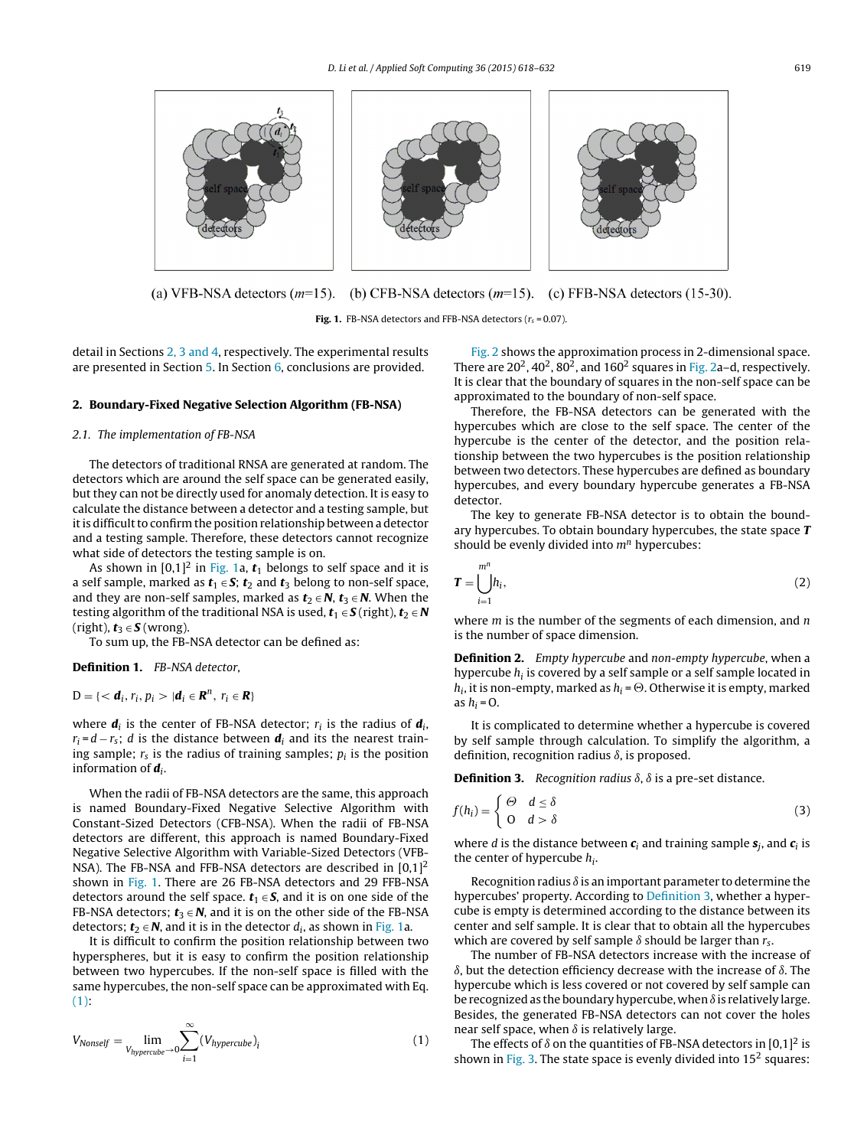

(a) VFB-NSA detectors  $(m=15)$ . (b) CFB-NSA detectors  $(m=15)$ . (c) FFB-NSA detectors (15-30).

**Fig. 1.** FB-NSA detectors and FFB-NSA detectors  $(r_s = 0.07)$ .

detail in Sections 2, 3 and 4, respectively. The experimental results are presented in Section [5.](#page--1-0) In Section [6,](#page--1-0) conclusions are provided.

#### **2. Boundary-Fixed Negative Selection Algorithm (FB-NSA)**

#### 2.1. The implementation of FB-NSA

The detectors of traditional RNSA are generated at random. The detectors which are around the self space can be generated easily, but they can not be directly used for anomaly detection. It is easy to calculate the distance between a detector and a testing sample, but it is difficult to confirm the position relationship between a detector and a testing sample. Therefore, these detectors cannot recognize what side of detectors the testing sample is on.

As shown in  $[0,1]^2$  in Fig. 1a,  $t_1$  belongs to self space and it is a self sample, marked as  $t_1 \in S$ ;  $t_2$  and  $t_3$  belong to non-self space, and they are non-self samples, marked as  $t_2 \in N$ ,  $t_3 \in N$ . When the testing algorithm of the traditional NSA is used,  $t_1 \in S$  (right),  $t_2 \in N$ (right),  $t_3 \in S$  (wrong).

To sum up, the FB-NSA detector can be defined as:

**Definition 1.** FB-NSA detector,

 $D = \{ < \mathbf{d}_i, r_i, p_i > | \mathbf{d}_i \in \mathbf{R}^n, r_i \in \mathbf{R} \}$ 

where  $\mathbf{d}_i$  is the center of FB-NSA detector;  $r_i$  is the radius of  $\mathbf{d}_i$ ,  $r_i = d - r_s$ ; *d* is the distance between  $d_i$  and its the nearest training sample;  $r_s$  is the radius of training samples;  $p_i$  is the position information of **d**i.

When the radii of FB-NSA detectors are the same, this approach is named Boundary-Fixed Negative Selective Algorithm with Constant-Sized Detectors (CFB-NSA). When the radii of FB-NSA detectors are different, this approach is named Boundary-Fixed Negative Selective Algorithm with Variable-Sized Detectors (VFB-NSA). The FB-NSA and FFB-NSA detectors are described in  $[0,1]^2$ shown in Fig. 1. There are 26 FB-NSA detectors and 29 FFB-NSA detectors around the self space.  $t_1 \in S$ , and it is on one side of the FB-NSA detectors;  $t_3 \in N$ , and it is on the other side of the FB-NSA detectors;  $t_2 \in N$ , and it is in the detector  $d_i$ , as shown in Fig. 1a.

It is difficult to confirm the position relationship between two hyperspheres, but it is easy to confirm the position relationship between two hypercubes. If the non-self space is filled with the same hypercubes, the non-self space can be approximated with Eq.  $(1):$ 

$$
V_{Nonself} = \lim_{V_{hypercube} \to 0} \sum_{i=1}^{\infty} (V_{hypercube})_i
$$
 (1)

[Fig.](#page--1-0) 2 shows the approximation process in 2-dimensional space. There are  $20^2$ ,  $40^2$ ,  $80^2$ , and  $160^2$  squares in [Fig.](#page--1-0) 2a–d, respectively. It is clear that the boundary of squares in the non-self space can be approximated to the boundary of non-self space.

Therefore, the FB-NSA detectors can be generated with the hypercubes which are close to the self space. The center of the hypercube is the center of the detector, and the position relationship between the two hypercubes is the position relationship between two detectors. These hypercubes are defined as boundary hypercubes, and every boundary hypercube generates a FB-NSA detector.

The key to generate FB-NSA detector is to obtain the boundary hypercubes. To obtain boundary hypercubes, the state space **T** should be evenly divided into  $m<sup>n</sup>$  hypercubes:

$$
\boldsymbol{T} = \bigcup_{i=1}^{m^n} h_i,\tag{2}
$$

where  $m$  is the number of the segments of each dimension, and  $n$ is the number of space dimension.

**Definition 2.** Empty hypercube and non-empty hypercube, when a hypercube  $h_i$  is covered by a self sample or a self sample located in  $h_i$ , it is non-empty, marked as  $h_i$  =  $\Theta$ . Otherwise it is empty, marked as  $h_i = 0$ .

It is complicated to determine whether a hypercube is covered by self sample through calculation. To simplify the algorithm, a definition, recognition radius  $\delta$ , is proposed.

**Definition 3.** Recognition radius  $\delta$ ,  $\delta$  is a pre-set distance.

$$
f(h_i) = \begin{cases} \Theta & d \le \delta \\ 0 & d > \delta \end{cases}
$$
 (3)

where *d* is the distance between  $c_i$  and training sample  $s_i$ , and  $c_i$  is the center of hypercube  $h_i$ .

Recognition radius  $\delta$  is an important parameter to determine the hypercubes' property. According to Definition 3, whether a hypercube is empty is determined according to the distance between its center and self sample. It is clear that to obtain all the hypercubes which are covered by self sample  $\delta$  should be larger than  $r_s$ .

The number of FB-NSA detectors increase with the increase of  $\delta$ , but the detection efficiency decrease with the increase of  $\delta$ . The hypercube which is less covered or not covered by self sample can be recognized as the boundary hypercube, when  $\delta$  is relatively large. Besides, the generated FB-NSA detectors can not cover the holes near self space, when  $\delta$  is relatively large.

The effects of  $\delta$  on the quantities of FB-NSA detectors in [0,1]<sup>2</sup> is shown in [Fig.](#page--1-0) 3. The state space is evenly divided into  $15<sup>2</sup>$  squares: